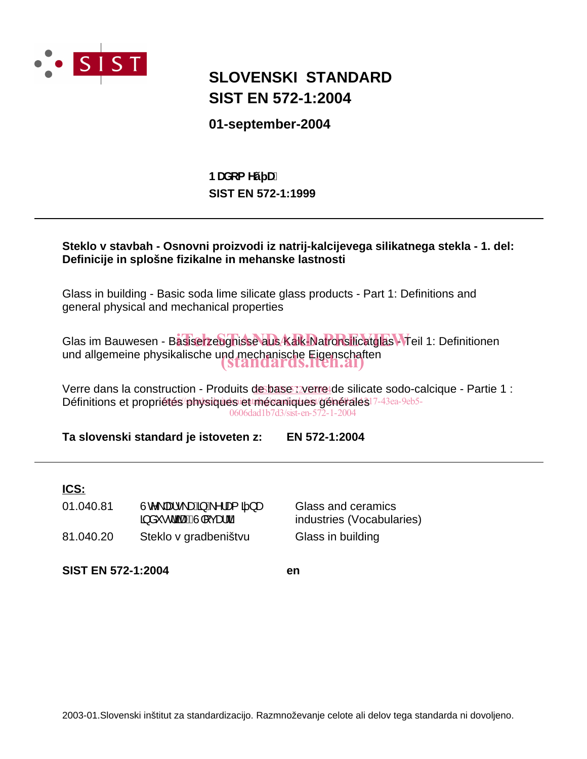

# **SIST EN 572-1:2004 SLOVENSKI STANDARD**

## **01-september-2004**

**SIST EN 572-1:1999 BUXca Yý U.** 

### **Steklo v stavbah - Osnovni proizvodi iz natrij-kalcijevega silikatnega stekla - 1. del: Definicije in splošne fizikalne in mehanske lastnosti**

Glass in building - Basic soda lime silicate glass products - Part 1: Definitions and general physical and mechanical properties

Glas im Bauwesen - Basiserzeughisse aus Kalk-Natronsilicatglas Meil 1: Definitionen und allgemeine physikalische und mechanische Eigenschaften (standards.iteh.ai)

Verre dans la construction - Produits de base *verre* de silicate sodo-calcique - Partie 1 : Définitions et propriétés/physiques et mécaniques/générales<sup>17-43ea-9eb5-</sup> 0606dad1b7d3/sist-en-572-1-2004

**Ta slovenski standard je istoveten z: EN 572-1:2004**

## **ICS:**

81.040.20 Steklo v gradbeništvu Glass in building  $01.040.81$   $\dot{U}$ c $\langle$  |æ $\dot{\bullet}$  \æ $\ddot{A}$  A $\dot{\prime}$ |æ $\ddot{a}$  }æ  $\ddot{a}$  a  $\dot{c}$  d along the cast of  $D$ 

Glass and ceramics industries (Vocabularies)

**SIST EN 572-1:2004 en**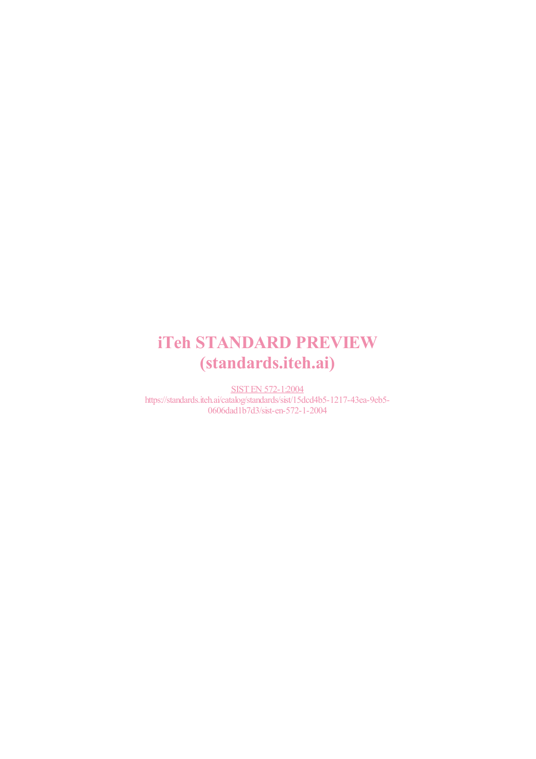# **iTeh STANDARD PREVIEW** (standards.iteh.ai)

**SIST EN 572-1:2004** https://standards.iteh.ai/catalog/standards/sist/15dcd4b5-1217-43ea-9eb5-0606dad1b7d3/sist-en-572-1-2004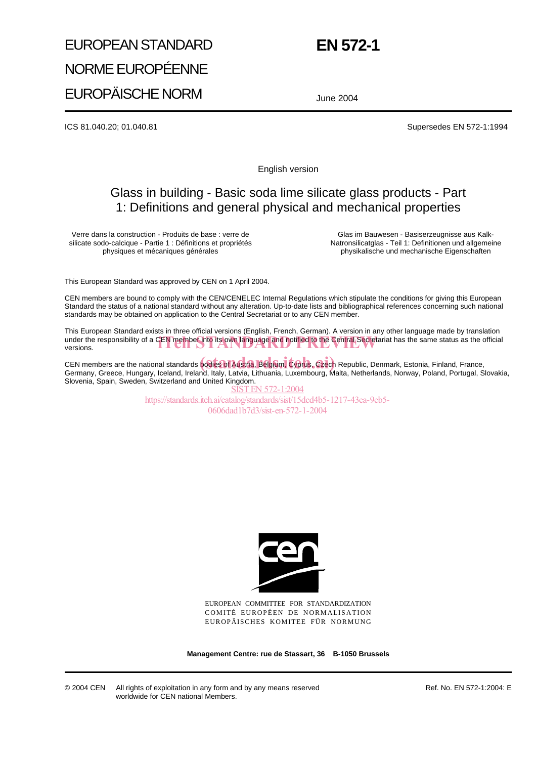# EUROPEAN STANDARD NORME EUROPÉENNE EUROPÄISCHE NORM

# **EN 572-1**

June 2004

ICS 81.040.20; 01.040.81 Supersedes EN 572-1:1994

English version

# Glass in building - Basic soda lime silicate glass products - Part 1: Definitions and general physical and mechanical properties

Verre dans la construction - Produits de base : verre de silicate sodo-calcique - Partie 1 : Définitions et propriétés physiques et mécaniques générales

Glas im Bauwesen - Basiserzeugnisse aus Kalk-Natronsilicatglas - Teil 1: Definitionen und allgemeine physikalische und mechanische Eigenschaften

This European Standard was approved by CEN on 1 April 2004.

CEN members are bound to comply with the CEN/CENELEC Internal Regulations which stipulate the conditions for giving this European Standard the status of a national standard without any alteration. Up-to-date lists and bibliographical references concerning such national standards may be obtained on application to the Central Secretariat or to any CEN member.

This European Standard exists in three official versions (English, French, German). A version in any other language made by translation under the responsibility of a CEN member into its own language and notified to the Central Secretariat has the same status as the official versions. versions.

CEN members are the national standards **bodies of Austria, Belgium, Cyprus, Czech** Republic, Denmark, Estonia, Finland, France, Germany, Greece, Hungary, Iceland, Ireland, Italy, Latvia, Lithuania, Luxembourg, Malta, Netherlands, Norway, Poland, Portugal, Slovakia, Slovenia, Spain, Sweden, Switzerland and United Kingdom.

ST EN 572-1:2004 https://standards.iteh.ai/catalog/standards/sist/15dcd4b5-1217-43ea-9eb5- 0606dad1b7d3/sist-en-572-1-2004



EUROPEAN COMMITTEE FOR STANDARDIZATION COMITÉ EUROPÉEN DE NORMALISATION EUROPÄISCHES KOMITEE FÜR NORMUNG

**Management Centre: rue de Stassart, 36 B-1050 Brussels**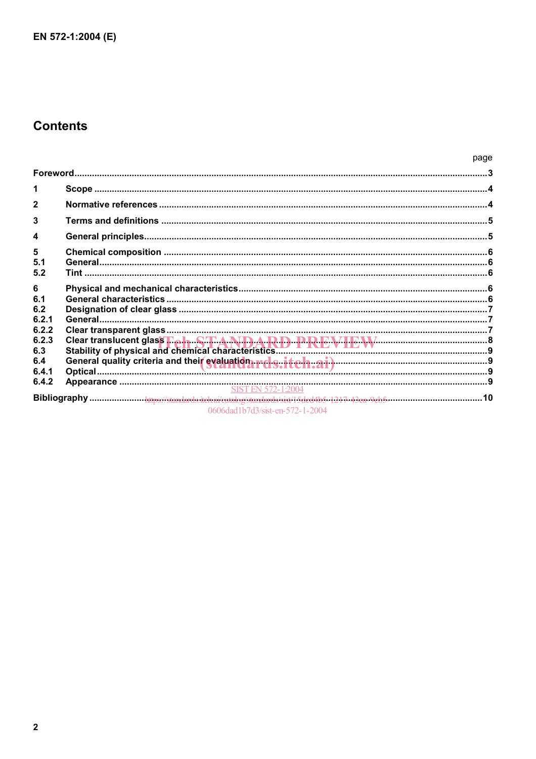# **Contents**

|                  |                                 | page |
|------------------|---------------------------------|------|
|                  |                                 |      |
| 1                |                                 |      |
| $\mathbf{2}$     |                                 |      |
| 3                |                                 |      |
| $\boldsymbol{4}$ |                                 |      |
| 5                |                                 |      |
| 5.1<br>5.2       |                                 |      |
| 6                |                                 |      |
| 6.1              |                                 |      |
| 6.2              |                                 |      |
| 6.2.1            |                                 |      |
| 6.2.2            |                                 |      |
| 6.2.3            |                                 |      |
| 6.3              |                                 |      |
| 6.4              |                                 |      |
| 6.4.1            |                                 |      |
| 6.4.2            |                                 |      |
|                  |                                 |      |
|                  |                                 |      |
|                  | 0606dad1b7d3/sist-en-572-1-2004 |      |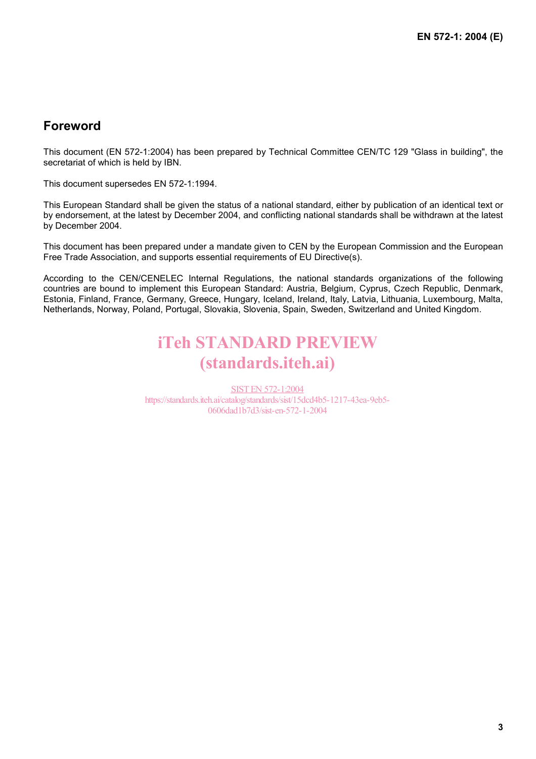# **Foreword**

This document (EN 572-1:2004) has been prepared by Technical Committee CEN/TC 129 "Glass in building", the secretariat of which is held by IBN.

This document supersedes EN 572-1:1994.

This European Standard shall be given the status of a national standard, either by publication of an identical text or by endorsement, at the latest by December 2004, and conflicting national standards shall be withdrawn at the latest by December 2004.

This document has been prepared under a mandate given to CEN by the European Commission and the European Free Trade Association, and supports essential requirements of EU Directive(s).

According to the CEN/CENELEC Internal Regulations, the national standards organizations of the following countries are bound to implement this European Standard: Austria, Belgium, Cyprus, Czech Republic, Denmark, Estonia, Finland, France, Germany, Greece, Hungary, Iceland, Ireland, Italy, Latvia, Lithuania, Luxembourg, Malta, Netherlands, Norway, Poland, Portugal, Slovakia, Slovenia, Spain, Sweden, Switzerland and United Kingdom.

# iTeh STANDARD PREVIEW (standards.iteh.ai)

SIST EN 572-1:2004 https://standards.iteh.ai/catalog/standards/sist/15dcd4b5-1217-43ea-9eb5- 0606dad1b7d3/sist-en-572-1-2004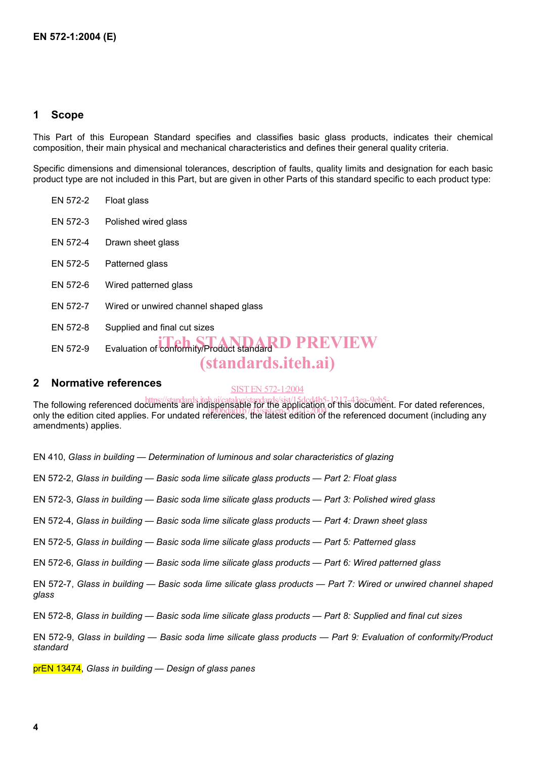### **1 Scope**

This Part of this European Standard specifies and classifies basic glass products, indicates their chemical composition, their main physical and mechanical characteristics and defines their general quality criteria.

Specific dimensions and dimensional tolerances, description of faults, quality limits and designation for each basic product type are not included in this Part, but are given in other Parts of this standard specific to each product type:

| EN 572-2 | Float glass                                                                       |
|----------|-----------------------------------------------------------------------------------|
| EN 572-3 | Polished wired glass                                                              |
| EN 572-4 | Drawn sheet glass                                                                 |
| EN 572-5 | Patterned glass                                                                   |
| EN 572-6 | Wired patterned glass                                                             |
| EN 572-7 | Wired or unwired channel shaped glass                                             |
| EN 572-8 | Supplied and final cut sizes                                                      |
| EN 572-9 | Evaluation of conformity/Product standard D PREVIEW<br><i>(standards.iteh.ai)</i> |
|          |                                                                                   |

### **2 Normative references**

SIST EN 572-1:2004

The following referenced documents are indispensable for the application of this document. For dated references, The following referenced documents are inapperisable for the application of the referenced document (including any only the edition cited applies. For undated references, the latest edition of the referenced document (incl amendments) applies.

EN 410, *Glass in building — Determination of luminous and solar characteristics of glazing*

EN 572-2, *Glass in building — Basic soda lime silicate glass products — Part 2: Float glass*

EN 572-3, *Glass in building — Basic soda lime silicate glass products — Part 3: Polished wired glass*

EN 572-4, *Glass in building — Basic soda lime silicate glass products — Part 4: Drawn sheet glass*

EN 572-5, *Glass in building — Basic soda lime silicate glass products — Part 5: Patterned glass*

EN 572-6, *Glass in building — Basic soda lime silicate glass products — Part 6: Wired patterned glass*

EN 572-7, *Glass in building — Basic soda lime silicate glass products — Part 7: Wired or unwired channel shaped glass*

EN 572-8, *Glass in building — Basic soda lime silicate glass products — Part 8: Supplied and final cut sizes*

EN 572-9, *Glass in building — Basic soda lime silicate glass products — Part 9: Evaluation of conformity/Product standard*

prEN 13474, *Glass in building — Design of glass panes*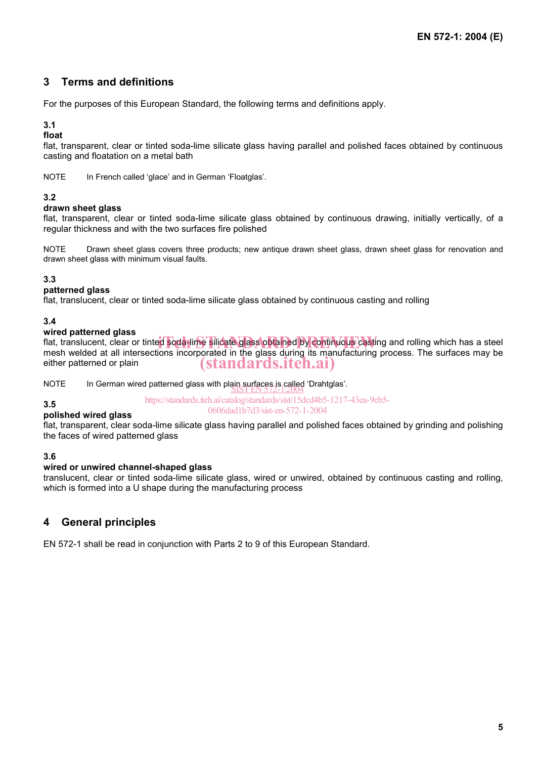## **3 Terms and definitions**

For the purposes of this European Standard, the following terms and definitions apply.

### **3.1**

**float** 

flat, transparent, clear or tinted soda-lime silicate glass having parallel and polished faces obtained by continuous casting and floatation on a metal bath

NOTE In French called 'glace' and in German 'Floatglas'.

#### **3.2**

#### **drawn sheet glass**

flat, transparent, clear or tinted soda-lime silicate glass obtained by continuous drawing, initially vertically, of a regular thickness and with the two surfaces fire polished

NOTE Drawn sheet glass covers three products; new antique drawn sheet glass, drawn sheet glass for renovation and drawn sheet glass with minimum visual faults.

#### **3.3**

#### **patterned glass**

flat, translucent, clear or tinted soda-lime silicate glass obtained by continuous casting and rolling

#### **3.4**

#### **wired patterned glass**

which patterned grace<br>flat, translucent, clear or tinted soda-lime silicate glass obtained by continuous casting and rolling which has a steel mesh welded at all intersections incorporated in the glass during its manufacturing process. The surfaces may be either patterned or plain (standards.iteh.ai)

NOTE In German wired patterned glass with plain surfaces is called 'Drahtglas'.<br>SISTEN 572-1:2004

https://standards.iteh.ai/catalog/standards/sist/15dcd4b5-1217-43ea-9eb5- 0606dad1b7d3/sist-en-572-1-2004

#### **3.5 polished wired glass**

flat, transparent, clear soda-lime silicate glass having parallel and polished faces obtained by grinding and polishing the faces of wired patterned glass

#### **3.6**

#### **wired or unwired channel-shaped glass**

translucent, clear or tinted soda-lime silicate glass, wired or unwired, obtained by continuous casting and rolling, which is formed into a U shape during the manufacturing process

## **4 General principles**

EN 572-1 shall be read in conjunction with Parts 2 to 9 of this European Standard.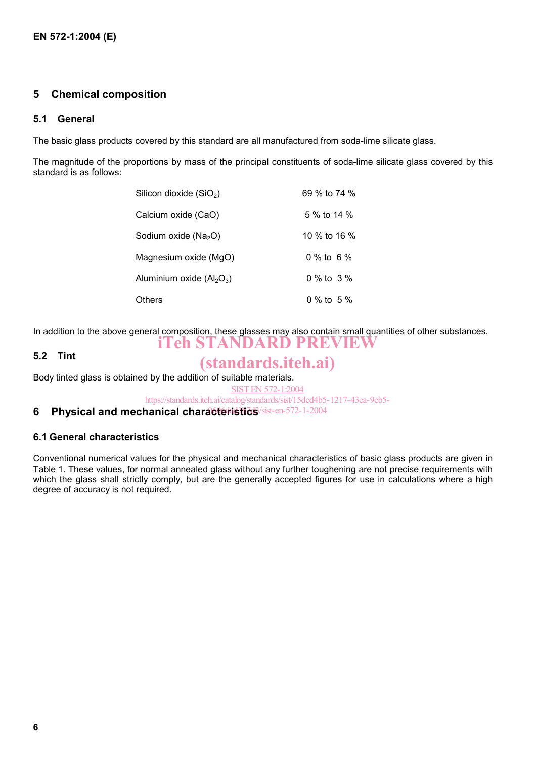### **5 Chemical composition**

#### **5.1 General**

The basic glass products covered by this standard are all manufactured from soda-lime silicate glass.

The magnitude of the proportions by mass of the principal constituents of soda-lime silicate glass covered by this standard is as follows:

| Silicon dioxide (SiO <sub>2</sub> ) | 69 % to 74 % |
|-------------------------------------|--------------|
| Calcium oxide (CaO)                 | 5 % to 14 %  |
| Sodium oxide (Na <sub>2</sub> O)    | 10 % to 16 % |
| Magnesium oxide (MgO)               | 0 % to 6 %   |
| Aluminium oxide $(AI_2O_3)$         | 0 % to 3 %   |
| Others                              | 0 % to 5 %   |

In addition to the above general composition, these glasses may also contain small quantities of other substances. iTeh STANDARD PREVIEW

#### **5.2 Tint**

# (standards.iteh.ai)

Body tinted glass is obtained by the addition of suitable materials.

SIST EN 572-1:2004

https://standards.iteh.ai/catalog/standards/sist/15dcd4b5-1217-43ea-9eb5-

### 6 Physical and mechanical characteristics/sist-en-572-1-2004

#### **6.1 General characteristics**

Conventional numerical values for the physical and mechanical characteristics of basic glass products are given in Table 1. These values, for normal annealed glass without any further toughening are not precise requirements with which the glass shall strictly comply, but are the generally accepted figures for use in calculations where a high degree of accuracy is not required.